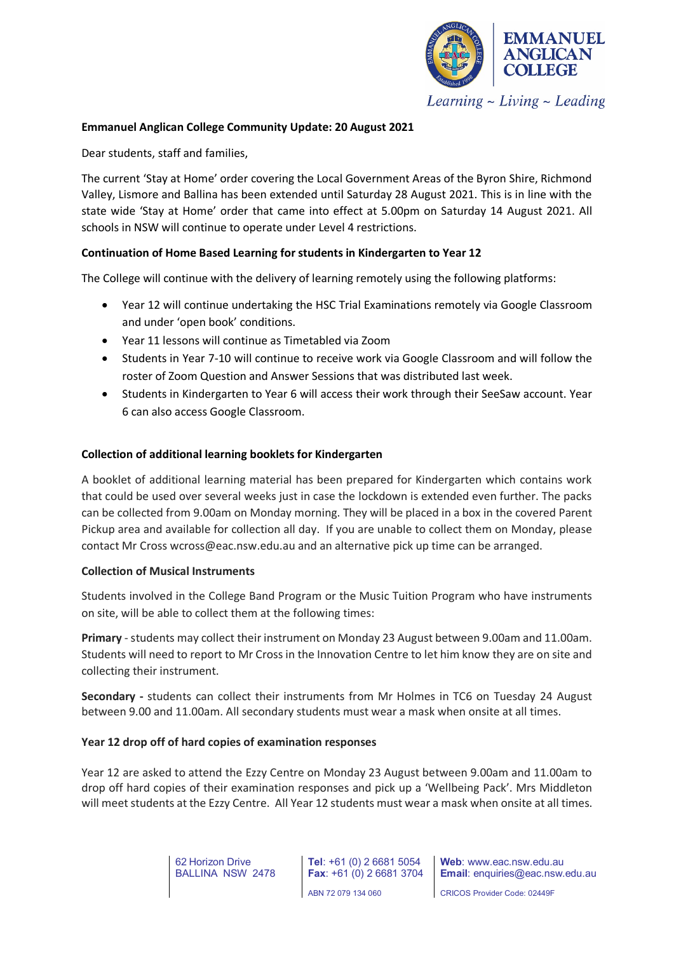

**Emmanuel Anglican College Community Update: 20 August 2021**

Dear students, staff and families,

The current 'Stay at Home' order covering the Local Government Areas of the Byron Shire, Richmond Valley, Lismore and Ballina has been extended until Saturday 28 August 2021. This is in line with the state wide 'Stay at Home' order that came into effect at 5.00pm on Saturday 14 August 2021. All schools in NSW will continue to operate under Level 4 restrictions.

## **Continuation of Home Based Learning for students in Kindergarten to Year 12**

The College will continue with the delivery of learning remotely using the following platforms:

- Year 12 will continue undertaking the HSC Trial Examinations remotely via Google Classroom and under 'open book' conditions.
- Year 11 lessons will continue as Timetabled via Zoom
- Students in Year 7-10 will continue to receive work via Google Classroom and will follow the roster of Zoom Question and Answer Sessions that was distributed last week.
- Students in Kindergarten to Year 6 will access their work through their SeeSaw account. Year 6 can also access Google Classroom.

#### **Collection of additional learning booklets for Kindergarten**

A booklet of additional learning material has been prepared for Kindergarten which contains work that could be used over several weeks just in case the lockdown is extended even further. The packs can be collected from 9.00am on Monday morning. They will be placed in a box in the covered Parent Pickup area and available for collection all day. If you are unable to collect them on Monday, please contact Mr Cross wcross@eac.nsw.edu.au and an alternative pick up time can be arranged.

#### **Collection of Musical Instruments**

Students involved in the College Band Program or the Music Tuition Program who have instruments on site, will be able to collect them at the following times:

**Primary** - students may collect their instrument on Monday 23 August between 9.00am and 11.00am. Students will need to report to Mr Cross in the Innovation Centre to let him know they are on site and collecting their instrument.

**Secondary -** students can collect their instruments from Mr Holmes in TC6 on Tuesday 24 August between 9.00 and 11.00am. All secondary students must wear a mask when onsite at all times.

#### **Year 12 drop off of hard copies of examination responses**

Year 12 are asked to attend the Ezzy Centre on Monday 23 August between 9.00am and 11.00am to drop off hard copies of their examination responses and pick up a 'Wellbeing Pack'. Mrs Middleton will meet students at the Ezzy Centre. All Year 12 students must wear a mask when onsite at all times.

> 62 Horizon Drive BALLINA NSW 2478

**Tel**: +61 (0) 2 6681 5054 **Fax**: +61 (0) 2 6681 3704 ABN 72 079 134 060

**Web**: www.eac.nsw.edu.au **Email**: enquiries@eac.nsw.edu.au

CRICOS Provider Code: 02449F